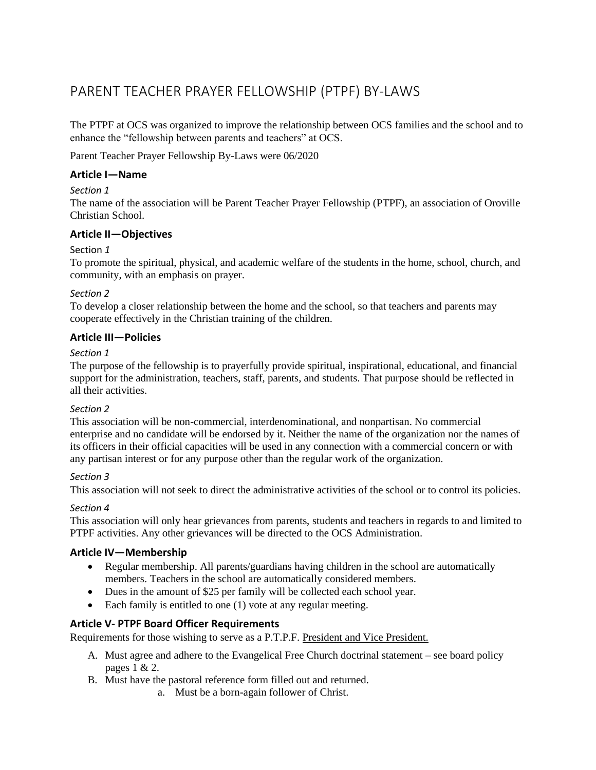# PARENT TEACHER PRAYER FELLOWSHIP (PTPF) BY-LAWS

The PTPF at OCS was organized to improve the relationship between OCS families and the school and to enhance the "fellowship between parents and teachers" at OCS.

Parent Teacher Prayer Fellowship By-Laws were 06/2020

## **Article I—Name**

## *Section 1*

The name of the association will be Parent Teacher Prayer Fellowship (PTPF), an association of Oroville Christian School.

# **Article II—Objectives**

## Section *1*

To promote the spiritual, physical, and academic welfare of the students in the home, school, church, and community, with an emphasis on prayer.

## *Section 2*

To develop a closer relationship between the home and the school, so that teachers and parents may cooperate effectively in the Christian training of the children.

## **Article III—Policies**

## *Section 1*

The purpose of the fellowship is to prayerfully provide spiritual, inspirational, educational, and financial support for the administration, teachers, staff, parents, and students. That purpose should be reflected in all their activities.

## *Section 2*

This association will be non-commercial, interdenominational, and nonpartisan. No commercial enterprise and no candidate will be endorsed by it. Neither the name of the organization nor the names of its officers in their official capacities will be used in any connection with a commercial concern or with any partisan interest or for any purpose other than the regular work of the organization.

## *Section 3*

This association will not seek to direct the administrative activities of the school or to control its policies.

## *Section 4*

This association will only hear grievances from parents, students and teachers in regards to and limited to PTPF activities. Any other grievances will be directed to the OCS Administration.

## **Article IV—Membership**

- Regular membership. All parents/guardians having children in the school are automatically members. Teachers in the school are automatically considered members.
- Dues in the amount of \$25 per family will be collected each school year.
- Each family is entitled to one (1) vote at any regular meeting.

## **Article V- PTPF Board Officer Requirements**

Requirements for those wishing to serve as a P.T.P.F. President and Vice President.

- A. Must agree and adhere to the Evangelical Free Church doctrinal statement see board policy pages 1 & 2.
- B. Must have the pastoral reference form filled out and returned.
	- a. Must be a born-again follower of Christ.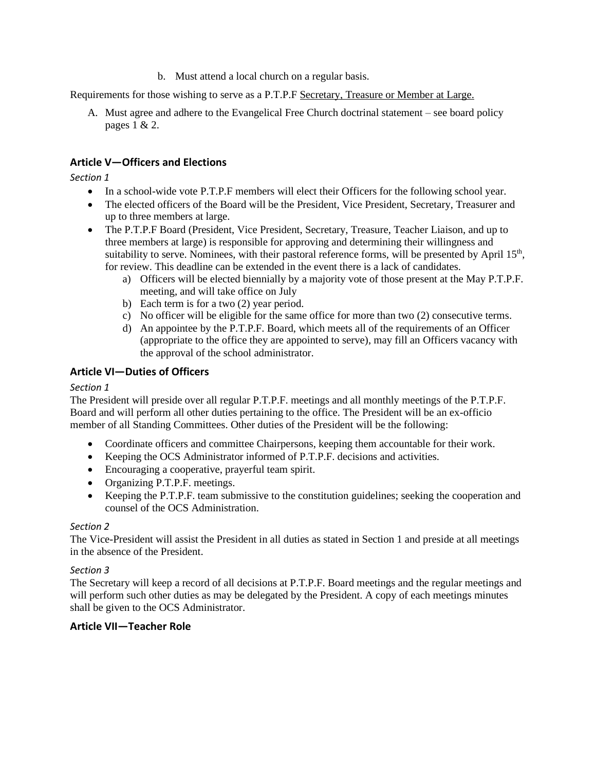b. Must attend a local church on a regular basis.

Requirements for those wishing to serve as a P.T.P.F Secretary, Treasure or Member at Large.

A. Must agree and adhere to the Evangelical Free Church doctrinal statement – see board policy pages 1 & 2.

# **Article V—Officers and Elections**

*Section 1*

- In a school-wide vote P.T.P.F members will elect their Officers for the following school year.
- The elected officers of the Board will be the President, Vice President, Secretary, Treasurer and up to three members at large.
- The P.T.P.F Board (President, Vice President, Secretary, Treasure, Teacher Liaison, and up to three members at large) is responsible for approving and determining their willingness and suitability to serve. Nominees, with their pastoral reference forms, will be presented by April  $15<sup>th</sup>$ , for review. This deadline can be extended in the event there is a lack of candidates.
	- a) Officers will be elected biennially by a majority vote of those present at the May P.T.P.F. meeting, and will take office on July
	- b) Each term is for a two (2) year period.
	- c) No officer will be eligible for the same office for more than two (2) consecutive terms.
	- d) An appointee by the P.T.P.F. Board, which meets all of the requirements of an Officer (appropriate to the office they are appointed to serve), may fill an Officers vacancy with the approval of the school administrator.

# **Article VI—Duties of Officers**

## *Section 1*

The President will preside over all regular P.T.P.F. meetings and all monthly meetings of the P.T.P.F. Board and will perform all other duties pertaining to the office. The President will be an ex-officio member of all Standing Committees. Other duties of the President will be the following:

- Coordinate officers and committee Chairpersons, keeping them accountable for their work.
- Keeping the OCS Administrator informed of P.T.P.F. decisions and activities.
- Encouraging a cooperative, prayerful team spirit.
- Organizing P.T.P.F. meetings.
- Keeping the P.T.P.F. team submissive to the constitution guidelines; seeking the cooperation and counsel of the OCS Administration.

## *Section 2*

The Vice-President will assist the President in all duties as stated in Section 1 and preside at all meetings in the absence of the President.

## *Section 3*

The Secretary will keep a record of all decisions at P.T.P.F. Board meetings and the regular meetings and will perform such other duties as may be delegated by the President. A copy of each meetings minutes shall be given to the OCS Administrator.

# **Article VII—Teacher Role**